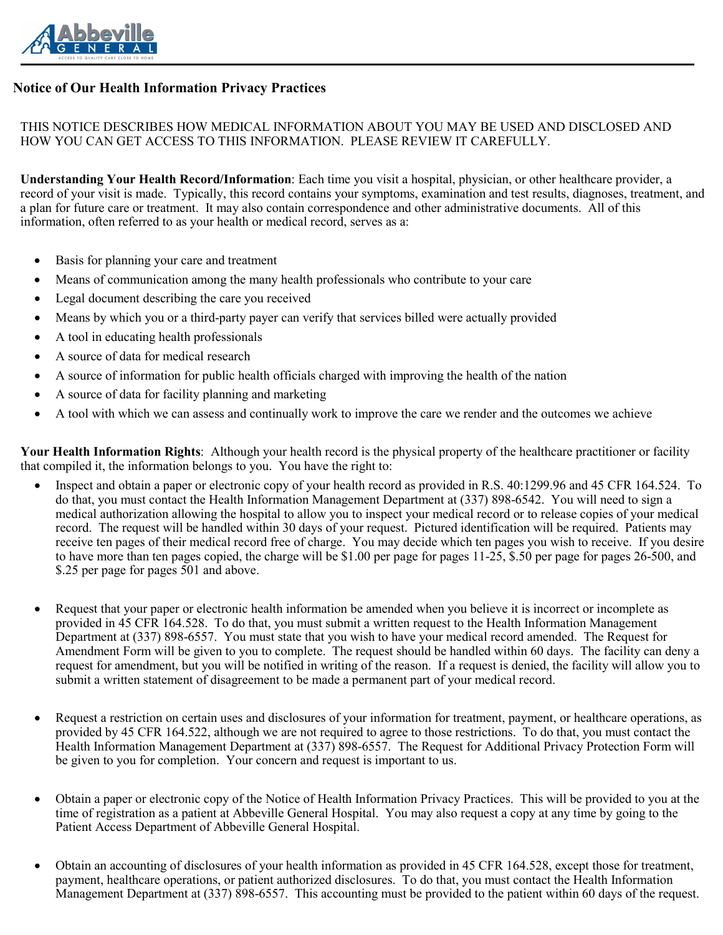

# **Notice of Our Health Information Privacy Practices**

### THIS NOTICE DESCRIBES HOW MEDICAL INFORMATION ABOUT YOU MAY BE USED AND DISCLOSED AND HOW YOU CAN GET ACCESS TO THIS INFORMATION. PLEASE REVIEW IT CAREFULLY.

**Understanding Your Health Record/Information**: Each time you visit a hospital, physician, or other healthcare provider, a record of your visit is made. Typically, this record contains your symptoms, examination and test results, diagnoses, treatment, and a plan for future care or treatment. It may also contain correspondence and other administrative documents. All of this information, often referred to as your health or medical record, serves as a:

- Basis for planning your care and treatment
- Means of communication among the many health professionals who contribute to your care
- Legal document describing the care you received
- Means by which you or a third-party payer can verify that services billed were actually provided
- A tool in educating health professionals
- A source of data for medical research
- A source of information for public health officials charged with improving the health of the nation
- A source of data for facility planning and marketing
- A tool with which we can assess and continually work to improve the care we render and the outcomes we achieve

**Your Health Information Rights**: Although your health record is the physical property of the healthcare practitioner or facility that compiled it, the information belongs to you. You have the right to:

- Inspect and obtain a paper or electronic copy of your health record as provided in R.S. 40:1299.96 and 45 CFR 164.524. To do that, you must contact the Health Information Management Department at (337) 898-6542. You will need to sign a medical authorization allowing the hospital to allow you to inspect your medical record or to release copies of your medical record. The request will be handled within 30 days of your request. Pictured identification will be required. Patients may receive ten pages of their medical record free of charge. You may decide which ten pages you wish to receive. If you desire to have more than ten pages copied, the charge will be \$1.00 per page for pages 11-25, \$.50 per page for pages 26-500, and \$.25 per page for pages 501 and above.
- Request that your paper or electronic health information be amended when you believe it is incorrect or incomplete as provided in 45 CFR 164.528. To do that, you must submit a written request to the Health Information Management Department at (337) 898-6557. You must state that you wish to have your medical record amended. The Request for Amendment Form will be given to you to complete. The request should be handled within 60 days. The facility can deny a request for amendment, but you will be notified in writing of the reason. If a request is denied, the facility will allow you to submit a written statement of disagreement to be made a permanent part of your medical record.
- Request a restriction on certain uses and disclosures of your information for treatment, payment, or healthcare operations, as provided by 45 CFR 164.522, although we are not required to agree to those restrictions. To do that, you must contact the Health Information Management Department at (337) 898-6557. The Request for Additional Privacy Protection Form will be given to you for completion. Your concern and request is important to us.
- Obtain a paper or electronic copy of the Notice of Health Information Privacy Practices. This will be provided to you at the time of registration as a patient at Abbeville General Hospital. You may also request a copy at any time by going to the Patient Access Department of Abbeville General Hospital.
- Obtain an accounting of disclosures of your health information as provided in 45 CFR 164.528, except those for treatment, payment, healthcare operations, or patient authorized disclosures. To do that, you must contact the Health Information Management Department at (337) 898-6557. This accounting must be provided to the patient within 60 days of the request.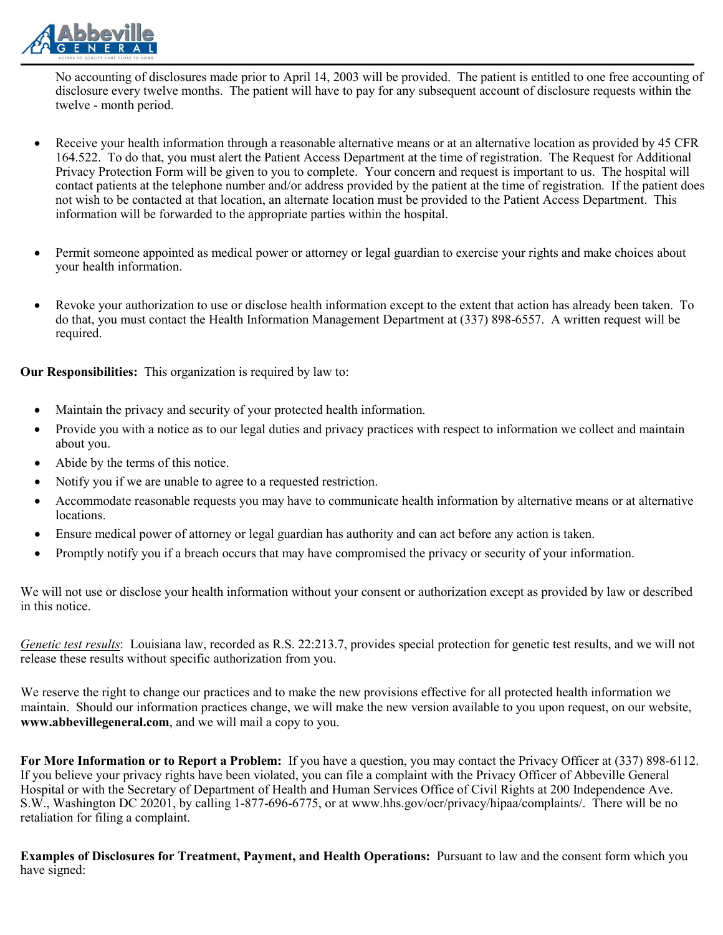

No accounting of disclosures made prior to April 14, 2003 will be provided. The patient is entitled to one free accounting of disclosure every twelve months. The patient will have to pay for any subsequent account of disclosure requests within the twelve - month period.

- Receive your health information through a reasonable alternative means or at an alternative location as provided by 45 CFR 164.522. To do that, you must alert the Patient Access Department at the time of registration. The Request for Additional Privacy Protection Form will be given to you to complete. Your concern and request is important to us. The hospital will contact patients at the telephone number and/or address provided by the patient at the time of registration. If the patient does not wish to be contacted at that location, an alternate location must be provided to the Patient Access Department. This information will be forwarded to the appropriate parties within the hospital.
- Permit someone appointed as medical power or attorney or legal guardian to exercise your rights and make choices about your health information.
- Revoke your authorization to use or disclose health information except to the extent that action has already been taken. To do that, you must contact the Health Information Management Department at (337) 898-6557. A written request will be required.

**Our Responsibilities:** This organization is required by law to:

- Maintain the privacy and security of your protected health information.
- Provide you with a notice as to our legal duties and privacy practices with respect to information we collect and maintain about you.
- Abide by the terms of this notice.
- Notify you if we are unable to agree to a requested restriction.
- Accommodate reasonable requests you may have to communicate health information by alternative means or at alternative locations.
- Ensure medical power of attorney or legal guardian has authority and can act before any action is taken.
- Promptly notify you if a breach occurs that may have compromised the privacy or security of your information.

We will not use or disclose your health information without your consent or authorization except as provided by law or described in this notice.

*Genetic test results*: Louisiana law, recorded as R.S. 22:213.7, provides special protection for genetic test results, and we will not release these results without specific authorization from you.

We reserve the right to change our practices and to make the new provisions effective for all protected health information we maintain. Should our information practices change, we will make the new version available to you upon request, on our website, **www.abbevillegeneral.com**, and we will mail a copy to you.

**For More Information or to Report a Problem:** If you have a question, you may contact the Privacy Officer at (337) 898-6112. If you believe your privacy rights have been violated, you can file a complaint with the Privacy Officer of Abbeville General Hospital or with the Secretary of Department of Health and Human Services Office of Civil Rights at 200 Independence Ave. S.W., Washington DC 20201, by calling 1-877-696-6775, or at www.hhs.gov/ocr/privacy/hipaa/complaints/. There will be no retaliation for filing a complaint.

**Examples of Disclosures for Treatment, Payment, and Health Operations:** Pursuant to law and the consent form which you have signed: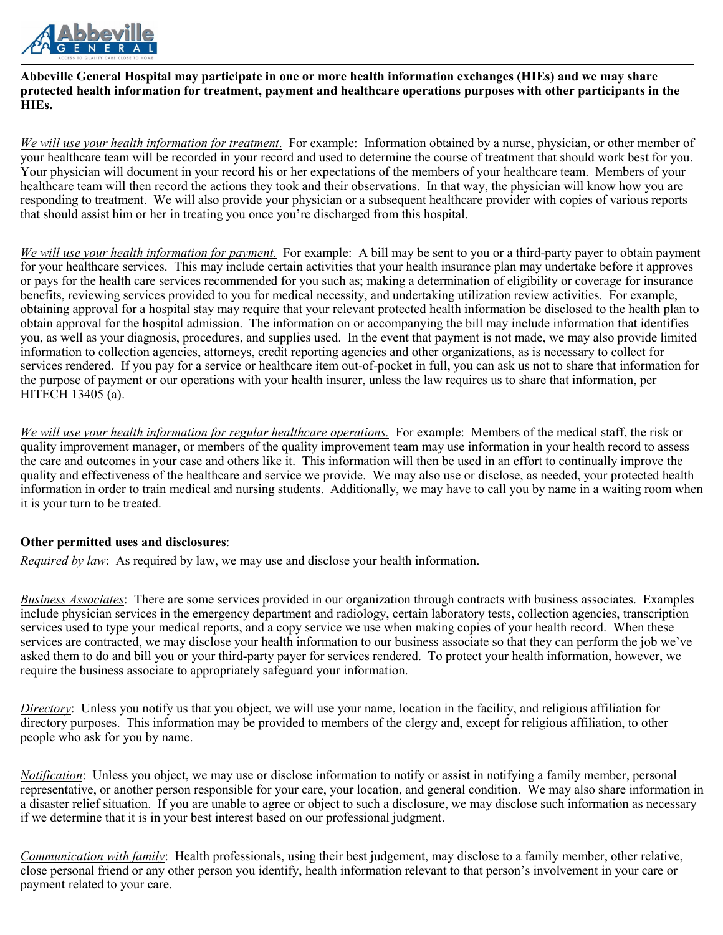

#### **Abbeville General Hospital may participate in one or more health information exchanges (HIEs) and we may share protected health information for treatment, payment and healthcare operations purposes with other participants in the HIEs.**

*We will use your health information for treatment*. For example: Information obtained by a nurse, physician, or other member of your healthcare team will be recorded in your record and used to determine the course of treatment that should work best for you. Your physician will document in your record his or her expectations of the members of your healthcare team. Members of your healthcare team will then record the actions they took and their observations. In that way, the physician will know how you are responding to treatment. We will also provide your physician or a subsequent healthcare provider with copies of various reports that should assist him or her in treating you once you're discharged from this hospital.

*We will use your health information for payment.* For example: A bill may be sent to you or a third-party payer to obtain payment for your healthcare services. This may include certain activities that your health insurance plan may undertake before it approves or pays for the health care services recommended for you such as; making a determination of eligibility or coverage for insurance benefits, reviewing services provided to you for medical necessity, and undertaking utilization review activities. For example, obtaining approval for a hospital stay may require that your relevant protected health information be disclosed to the health plan to obtain approval for the hospital admission. The information on or accompanying the bill may include information that identifies you, as well as your diagnosis, procedures, and supplies used. In the event that payment is not made, we may also provide limited information to collection agencies, attorneys, credit reporting agencies and other organizations, as is necessary to collect for services rendered. If you pay for a service or healthcare item out-of-pocket in full, you can ask us not to share that information for the purpose of payment or our operations with your health insurer, unless the law requires us to share that information, per HITECH 13405 (a).

*We will use your health information for regular healthcare operations.* For example: Members of the medical staff, the risk or quality improvement manager, or members of the quality improvement team may use information in your health record to assess the care and outcomes in your case and others like it. This information will then be used in an effort to continually improve the quality and effectiveness of the healthcare and service we provide. We may also use or disclose, as needed, your protected health information in order to train medical and nursing students. Additionally, we may have to call you by name in a waiting room when it is your turn to be treated.

### **Other permitted uses and disclosures**:

*Required by law*: As required by law, we may use and disclose your health information.

*Business Associates*: There are some services provided in our organization through contracts with business associates. Examples include physician services in the emergency department and radiology, certain laboratory tests, collection agencies, transcription services used to type your medical reports, and a copy service we use when making copies of your health record. When these services are contracted, we may disclose your health information to our business associate so that they can perform the job we've asked them to do and bill you or your third-party payer for services rendered. To protect your health information, however, we require the business associate to appropriately safeguard your information.

*Directory*: Unless you notify us that you object, we will use your name, location in the facility, and religious affiliation for directory purposes. This information may be provided to members of the clergy and, except for religious affiliation, to other people who ask for you by name.

*Notification*: Unless you object, we may use or disclose information to notify or assist in notifying a family member, personal representative, or another person responsible for your care, your location, and general condition. We may also share information in a disaster relief situation. If you are unable to agree or object to such a disclosure, we may disclose such information as necessary if we determine that it is in your best interest based on our professional judgment.

*Communication with family*: Health professionals, using their best judgement, may disclose to a family member, other relative, close personal friend or any other person you identify, health information relevant to that person's involvement in your care or payment related to your care.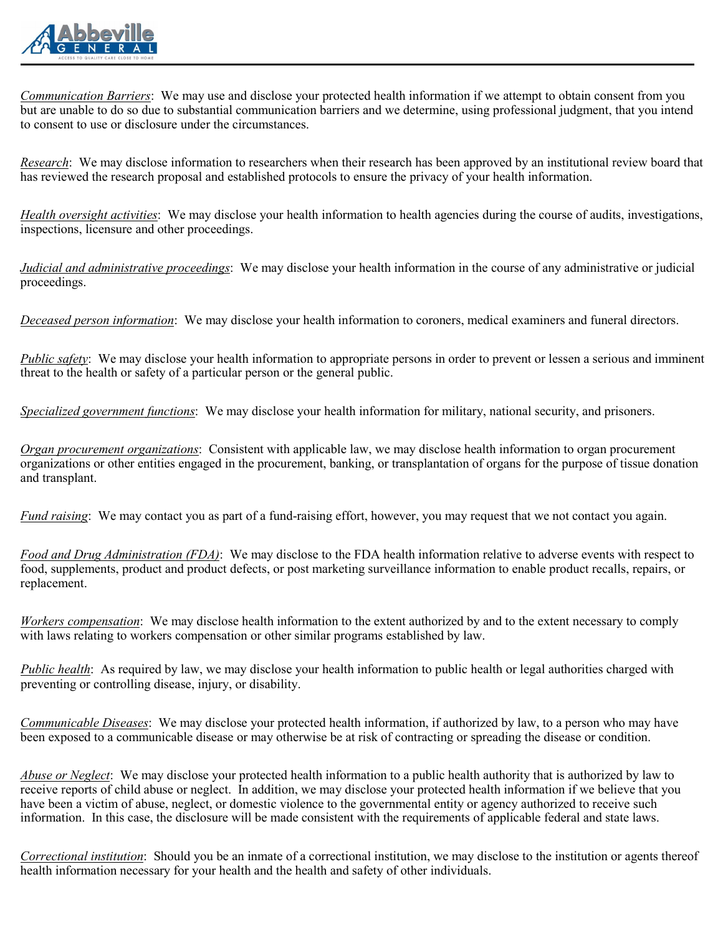

*Communication Barriers*: We may use and disclose your protected health information if we attempt to obtain consent from you but are unable to do so due to substantial communication barriers and we determine, using professional judgment, that you intend to consent to use or disclosure under the circumstances.

*Research*: We may disclose information to researchers when their research has been approved by an institutional review board that has reviewed the research proposal and established protocols to ensure the privacy of your health information.

*Health oversight activities*: We may disclose your health information to health agencies during the course of audits, investigations, inspections, licensure and other proceedings.

*Judicial and administrative proceedings*: We may disclose your health information in the course of any administrative or judicial proceedings.

*Deceased person information*: We may disclose your health information to coroners, medical examiners and funeral directors.

*Public safety*: We may disclose your health information to appropriate persons in order to prevent or lessen a serious and imminent threat to the health or safety of a particular person or the general public.

*Specialized government functions*: We may disclose your health information for military, national security, and prisoners.

*Organ procurement organizations*: Consistent with applicable law, we may disclose health information to organ procurement organizations or other entities engaged in the procurement, banking, or transplantation of organs for the purpose of tissue donation and transplant.

*Fund raising*: We may contact you as part of a fund-raising effort, however, you may request that we not contact you again.

*Food and Drug Administration (FDA)*: We may disclose to the FDA health information relative to adverse events with respect to food, supplements, product and product defects, or post marketing surveillance information to enable product recalls, repairs, or replacement.

*Workers compensation*: We may disclose health information to the extent authorized by and to the extent necessary to comply with laws relating to workers compensation or other similar programs established by law.

*Public health*: As required by law, we may disclose your health information to public health or legal authorities charged with preventing or controlling disease, injury, or disability.

*Communicable Diseases*: We may disclose your protected health information, if authorized by law, to a person who may have been exposed to a communicable disease or may otherwise be at risk of contracting or spreading the disease or condition.

*Abuse or Neglect*: We may disclose your protected health information to a public health authority that is authorized by law to receive reports of child abuse or neglect. In addition, we may disclose your protected health information if we believe that you have been a victim of abuse, neglect, or domestic violence to the governmental entity or agency authorized to receive such information. In this case, the disclosure will be made consistent with the requirements of applicable federal and state laws.

*Correctional institution*: Should you be an inmate of a correctional institution, we may disclose to the institution or agents thereof health information necessary for your health and the health and safety of other individuals.